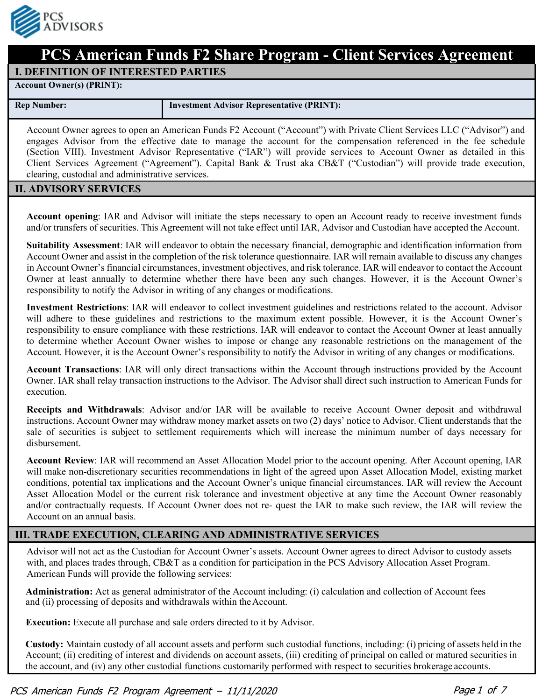

# **PCS American Funds F2 Share Program - Client Services Agreement**

#### **I. DEFINITION OF INTERESTED PARTIES**

**Account Owner(s) (PRINT):**

**Rep Number: Investment Advisor Representative (PRINT):**

Account Owner agrees to open an American Funds F2 Account ("Account") with Private Client Services LLC ("Advisor") and engages Advisor from the effective date to manage the account for the compensation referenced in the fee schedule (Section VIII). Investment Advisor Representative ("IAR") will provide services to Account Owner as detailed in this Client Services Agreement ("Agreement"). Capital Bank & Trust aka CB&T ("Custodian") will provide trade execution, clearing, custodial and administrative services.

#### **II. ADVISORY SERVICES**

**Account opening**: IAR and Advisor will initiate the steps necessary to open an Account ready to receive investment funds and/or transfers of securities. This Agreement will not take effect until IAR, Advisor and Custodian have accepted the Account.

**Suitability Assessment**: IAR will endeavor to obtain the necessary financial, demographic and identification information from Account Owner and assist in the completion of the risk tolerance questionnaire. IAR will remain available to discuss any changes in Account Owner's financial circumstances, investment objectives, and risk tolerance. IAR will endeavor to contact the Account Owner at least annually to determine whether there have been any such changes. However, it is the Account Owner's responsibility to notify the Advisor in writing of any changes or modifications.

**Investment Restrictions**: IAR will endeavor to collect investment guidelines and restrictions related to the account. Advisor will adhere to these guidelines and restrictions to the maximum extent possible. However, it is the Account Owner's responsibility to ensure compliance with these restrictions. IAR will endeavor to contact the Account Owner at least annually to determine whether Account Owner wishes to impose or change any reasonable restrictions on the management of the Account. However, it is the Account Owner's responsibility to notify the Advisor in writing of any changes or modifications.

**Account Transactions**: IAR will only direct transactions within the Account through instructions provided by the Account Owner. IAR shall relay transaction instructions to the Advisor. The Advisor shall direct such instruction to American Funds for execution.

**Receipts and Withdrawals**: Advisor and/or IAR will be available to receive Account Owner deposit and withdrawal instructions. Account Owner may withdraw money market assets on two (2) days' notice to Advisor. Client understands that the sale of securities is subject to settlement requirements which will increase the minimum number of days necessary for disbursement.

**Account Review**: IAR will recommend an Asset Allocation Model prior to the account opening. After Account opening, IAR will make non-discretionary securities recommendations in light of the agreed upon Asset Allocation Model, existing market conditions, potential tax implications and the Account Owner's unique financial circumstances. IAR will review the Account Asset Allocation Model or the current risk tolerance and investment objective at any time the Account Owner reasonably and/or contractually requests. If Account Owner does not re- quest the IAR to make such review, the IAR will review the Account on an annual basis.

# **III. TRADE EXECUTION, CLEARING AND ADMINISTRATIVE SERVICES**

Advisor will not act as the Custodian for Account Owner's assets. Account Owner agrees to direct Advisor to custody assets with, and places trades through, CB&T as a condition for participation in the PCS Advisory Allocation Asset Program. American Funds will provide the following services:

**Administration:** Act as general administrator of the Account including: (i) calculation and collection of Account fees and (ii) processing of deposits and withdrawals within the Account.

**Execution:** Execute all purchase and sale orders directed to it by Advisor.

**Custody:** Maintain custody of all account assets and perform such custodial functions, including: (i) pricing of assets held in the Account; (ii) crediting of interest and dividends on account assets, (iii) crediting of principal on called or matured securities in the account, and (iv) any other custodial functions customarily performed with respect to securities brokerage accounts.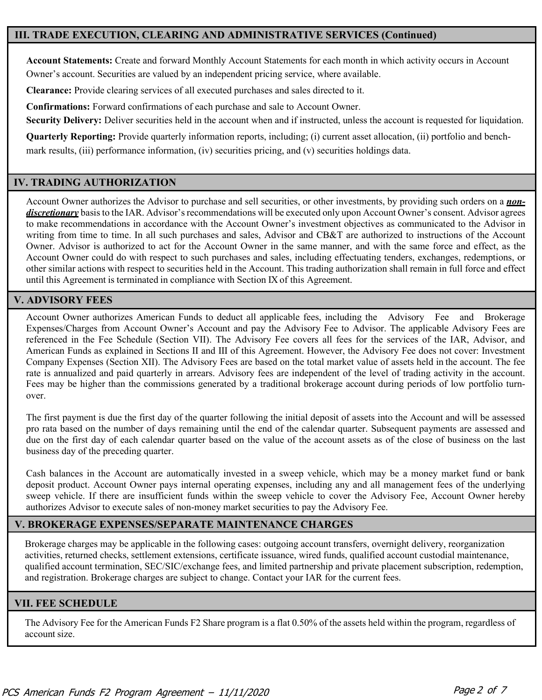## **III. TRADE EXECUTION, CLEARING AND ADMINISTRATIVE SERVICES (Continued)**

**Account Statements:** Create and forward Monthly Account Statements for each month in which activity occurs in Account Owner's account. Securities are valued by an independent pricing service, where available.

**Clearance:** Provide clearing services of all executed purchases and sales directed to it.

**Confirmations:** Forward confirmations of each purchase and sale to Account Owner.

**Security Delivery:** Deliver securities held in the account when and if instructed, unless the account is requested for liquidation.

**Quarterly Reporting:** Provide quarterly information reports, including; (i) current asset allocation, (ii) portfolio and benchmark results, (iii) performance information, (iv) securities pricing, and (v) securities holdings data.

## **IV. TRADING AUTHORIZATION**

Account Owner authorizes the Advisor to purchase and sell securities, or other investments, by providing such orders on a *nondiscretionary* basisto the IAR. Advisor's recommendations will be executed only upon Account Owner's consent. Advisor agrees to make recommendations in accordance with the Account Owner's investment objectives as communicated to the Advisor in writing from time to time. In all such purchases and sales, Advisor and CB&T are authorized to instructions of the Account Owner. Advisor is authorized to act for the Account Owner in the same manner, and with the same force and effect, as the Account Owner could do with respect to such purchases and sales, including effectuating tenders, exchanges, redemptions, or other similar actions with respect to securities held in the Account. This trading authorization shall remain in full force and effect until this Agreement is terminated in compliance with Section IX of this Agreement.

#### **V. ADVISORY FEES**

Account Owner authorizes American Funds to deduct all applicable fees, including the Advisory Fee and Brokerage Expenses/Charges from Account Owner's Account and pay the Advisory Fee to Advisor. The applicable Advisory Fees are referenced in the Fee Schedule (Section VII). The Advisory Fee covers all fees for the services of the IAR, Advisor, and American Funds as explained in Sections II and III of this Agreement. However, the Advisory Fee does not cover: Investment Company Expenses (Section XII). The Advisory Fees are based on the total market value of assets held in the account. The fee rate is annualized and paid quarterly in arrears. Advisory fees are independent of the level of trading activity in the account. Fees may be higher than the commissions generated by a traditional brokerage account during periods of low portfolio turnover.

The first payment is due the first day of the quarter following the initial deposit of assets into the Account and will be assessed pro rata based on the number of days remaining until the end of the calendar quarter. Subsequent payments are assessed and due on the first day of each calendar quarter based on the value of the account assets as of the close of business on the last business day of the preceding quarter.

Cash balances in the Account are automatically invested in a sweep vehicle, which may be a money market fund or bank deposit product. Account Owner pays internal operating expenses, including any and all management fees of the underlying sweep vehicle. If there are insufficient funds within the sweep vehicle to cover the Advisory Fee, Account Owner hereby authorizes Advisor to execute sales of non-money market securities to pay the Advisory Fee.

## **V. BROKERAGE EXPENSES/SEPARATE MAINTENANCE CHARGES**

Brokerage charges may be applicable in the following cases: outgoing account transfers, overnight delivery, reorganization activities, returned checks, settlement extensions, certificate issuance, wired funds, qualified account custodial maintenance, qualified account termination, SEC/SIC/exchange fees, and limited partnership and private placement subscription, redemption, and registration. Brokerage charges are subject to change. Contact your IAR for the current fees.

## **VII. FEE SCHEDULE**

The Advisory Fee for the American Funds F2 Share program is a flat 0.50% of the assets held within the program, regardless of account size.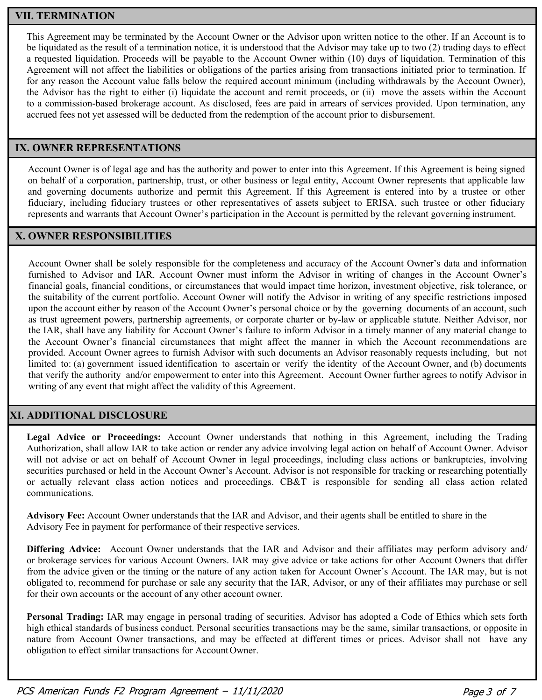# **VII. TERMINATION**

This Agreement may be terminated by the Account Owner or the Advisor upon written notice to the other. If an Account is to be liquidated as the result of a termination notice, it is understood that the Advisor may take up to two (2) trading days to effect a requested liquidation. Proceeds will be payable to the Account Owner within (10) days of liquidation. Termination of this Agreement will not affect the liabilities or obligations of the parties arising from transactions initiated prior to termination. If for any reason the Account value falls below the required account minimum (including withdrawals by the Account Owner), the Advisor has the right to either (i) liquidate the account and remit proceeds, or (ii) move the assets within the Account to a commission-based brokerage account. As disclosed, fees are paid in arrears of services provided. Upon termination, any accrued fees not yet assessed will be deducted from the redemption of the account prior to disbursement.

# **IX. OWNER REPRESENTATIONS**

Account Owner is of legal age and has the authority and power to enter into this Agreement. If this Agreement is being signed on behalf of a corporation, partnership, trust, or other business or legal entity, Account Owner represents that applicable law and governing documents authorize and permit this Agreement. If this Agreement is entered into by a trustee or other fiduciary, including fiduciary trustees or other representatives of assets subject to ERISA, such trustee or other fiduciary represents and warrants that Account Owner's participation in the Account is permitted by the relevant governing instrument.

## **X. OWNER RESPONSIBILITIES**

Account Owner shall be solely responsible for the completeness and accuracy of the Account Owner's data and information furnished to Advisor and IAR. Account Owner must inform the Advisor in writing of changes in the Account Owner's financial goals, financial conditions, or circumstances that would impact time horizon, investment objective, risk tolerance, or the suitability of the current portfolio. Account Owner will notify the Advisor in writing of any specific restrictions imposed upon the account either by reason of the Account Owner's personal choice or by the governing documents of an account, such as trust agreement powers, partnership agreements, or corporate charter or by-law or applicable statute. Neither Advisor, nor the IAR, shall have any liability for Account Owner's failure to inform Advisor in a timely manner of any material change to the Account Owner's financial circumstances that might affect the manner in which the Account recommendations are provided. Account Owner agrees to furnish Advisor with such documents an Advisor reasonably requests including, but not limited to: (a) government issued identification to ascertain or verify the identity of the Account Owner, and (b) documents that verify the authority and/or empowerment to enter into this Agreement. Account Owner further agrees to notify Advisor in writing of any event that might affect the validity of this Agreement.

## **XI. ADDITIONAL DISCLOSURE**

**Legal Advice or Proceedings:** Account Owner understands that nothing in this Agreement, including the Trading Authorization, shall allow IAR to take action or render any advice involving legal action on behalf of Account Owner. Advisor will not advise or act on behalf of Account Owner in legal proceedings, including class actions or bankruptcies, involving securities purchased or held in the Account Owner's Account. Advisor is not responsible for tracking or researching potentially or actually relevant class action notices and proceedings. CB&T is responsible for sending all class action related communications.

**Advisory Fee:** Account Owner understands that the IAR and Advisor, and their agents shall be entitled to share in the Advisory Fee in payment for performance of their respective services.

**Differing Advice:** Account Owner understands that the IAR and Advisor and their affiliates may perform advisory and/ or brokerage services for various Account Owners. IAR may give advice or take actions for other Account Owners that differ from the advice given or the timing or the nature of any action taken for Account Owner's Account. The IAR may, but is not obligated to, recommend for purchase or sale any security that the IAR, Advisor, or any of their affiliates may purchase or sell for their own accounts or the account of any other account owner.

**Personal Trading:** IAR may engage in personal trading of securities. Advisor has adopted a Code of Ethics which sets forth high ethical standards of business conduct. Personal securities transactions may be the same, similar transactions, or opposite in nature from Account Owner transactions, and may be effected at different times or prices. Advisor shall not have any obligation to effect similar transactions for Account Owner.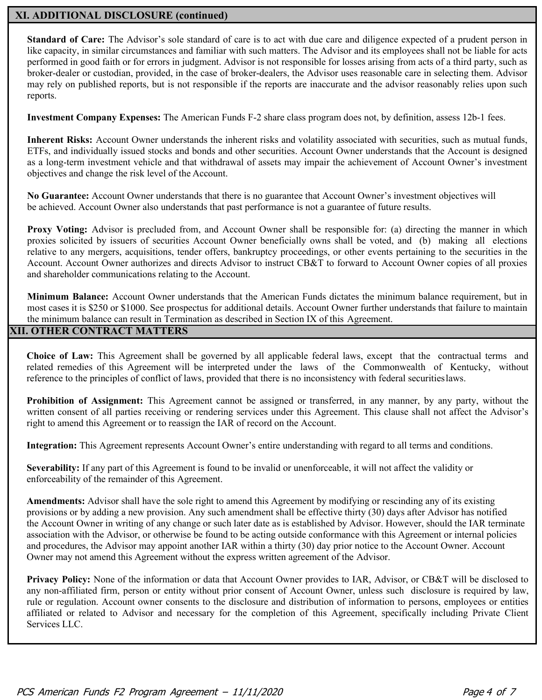#### **XI. ADDITIONAL DISCLOSURE (continued)**

**Standard of Care:** The Advisor's sole standard of care is to act with due care and diligence expected of a prudent person in like capacity, in similar circumstances and familiar with such matters. The Advisor and its employees shall not be liable for acts performed in good faith or for errors in judgment. Advisor is not responsible for losses arising from acts of a third party, such as broker-dealer or custodian, provided, in the case of broker-dealers, the Advisor uses reasonable care in selecting them. Advisor may rely on published reports, but is not responsible if the reports are inaccurate and the advisor reasonably relies upon such reports.

**Investment Company Expenses:** The American Funds F-2 share class program does not, by definition, assess 12b-1 fees.

**Inherent Risks:** Account Owner understands the inherent risks and volatility associated with securities, such as mutual funds, ETFs, and individually issued stocks and bonds and other securities. Account Owner understands that the Account is designed as a long-term investment vehicle and that withdrawal of assets may impair the achievement of Account Owner's investment objectives and change the risk level of the Account.

**No Guarantee:** Account Owner understands that there is no guarantee that Account Owner's investment objectives will be achieved. Account Owner also understands that past performance is not a guarantee of future results.

**Proxy Voting:** Advisor is precluded from, and Account Owner shall be responsible for: (a) directing the manner in which proxies solicited by issuers of securities Account Owner beneficially owns shall be voted, and (b) making all elections relative to any mergers, acquisitions, tender offers, bankruptcy proceedings, or other events pertaining to the securities in the Account. Account Owner authorizes and directs Advisor to instruct CB&T to forward to Account Owner copies of all proxies and shareholder communications relating to the Account.

**Minimum Balance:** Account Owner understands that the American Funds dictates the minimum balance requirement, but in most cases it is \$250 or \$1000. See prospectus for additional details. Account Owner further understands that failure to maintain the minimum balance can result in Termination as described in Section IX of this Agreement.

# **XII. OTHER CONTRACT MATTERS**

**Choice of Law:** This Agreement shall be governed by all applicable federal laws, except that the contractual terms and related remedies of this Agreement will be interpreted under the laws of the Commonwealth of Kentucky, without reference to the principles of conflict of laws, provided that there is no inconsistency with federal securitieslaws.

**Prohibition of Assignment:** This Agreement cannot be assigned or transferred, in any manner, by any party, without the written consent of all parties receiving or rendering services under this Agreement. This clause shall not affect the Advisor's right to amend this Agreement or to reassign the IAR of record on the Account.

**Integration:** This Agreement represents Account Owner's entire understanding with regard to all terms and conditions.

**Severability:** If any part of this Agreement is found to be invalid or unenforceable, it will not affect the validity or enforceability of the remainder of this Agreement.

**Amendments:** Advisor shall have the sole right to amend this Agreement by modifying or rescinding any of its existing provisions or by adding a new provision. Any such amendment shall be effective thirty (30) days after Advisor has notified the Account Owner in writing of any change or such later date as is established by Advisor. However, should the IAR terminate association with the Advisor, or otherwise be found to be acting outside conformance with this Agreement or internal policies and procedures, the Advisor may appoint another IAR within a thirty (30) day prior notice to the Account Owner. Account Owner may not amend this Agreement without the express written agreement of the Advisor.

**Privacy Policy:** None of the information or data that Account Owner provides to IAR, Advisor, or CB&T will be disclosed to any non-affiliated firm, person or entity without prior consent of Account Owner, unless such disclosure is required by law, rule or regulation. Account owner consents to the disclosure and distribution of information to persons, employees or entities affiliated or related to Advisor and necessary for the completion of this Agreement, specifically including Private Client Services LLC.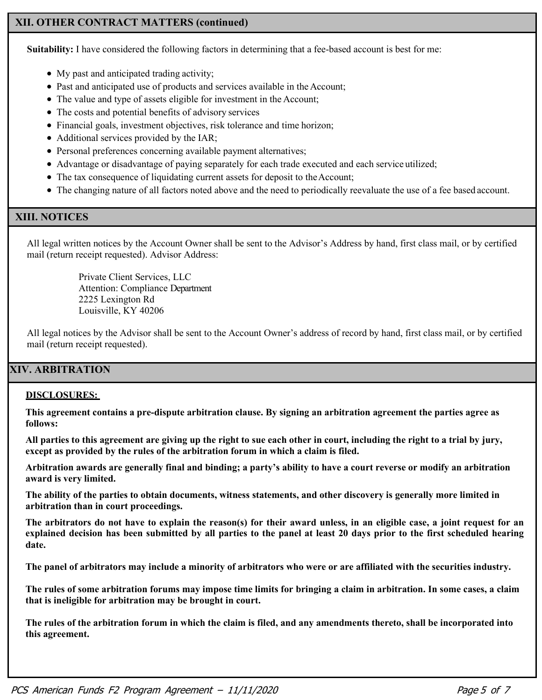# **XII. OTHER CONTRACT MATTERS (continued)**

**Suitability:** I have considered the following factors in determining that a fee-based account is best for me:

- My past and anticipated trading activity;
- Past and anticipated use of products and services available in the Account;
- The value and type of assets eligible for investment in the Account;
- The costs and potential benefits of advisory services
- Financial goals, investment objectives, risk tolerance and time horizon;
- Additional services provided by the IAR;
- Personal preferences concerning available payment alternatives;
- Advantage or disadvantage of paying separately for each trade executed and each service utilized;
- The tax consequence of liquidating current assets for deposit to the Account;
- The changing nature of all factors noted above and the need to periodically reevaluate the use of a fee based account.

# **XIII. NOTICES**

All legal written notices by the Account Owner shall be sent to the Advisor's Address by hand, first class mail, or by certified mail (return receipt requested). Advisor Address:

> Private Client Services, LLC Attention: Compliance Department 2225 Lexington Rd Louisville, KY 40206

All legal notices by the Advisor shall be sent to the Account Owner's address of record by hand, first class mail, or by certified mail (return receipt requested).

# **XIV. ARBITRATION**

#### **DISCLOSURES:**

**This agreement contains a pre-dispute arbitration clause. By signing an arbitration agreement the parties agree as follows:**

**All parties to this agreement are giving up the right to sue each other in court, including the right to a trial by jury, except as provided by the rules of the arbitration forum in which a claim is filed.**

**Arbitration awards are generally final and binding; a party's ability to have a court reverse or modify an arbitration award is very limited.**

**The ability of the parties to obtain documents, witness statements, and other discovery is generally more limited in arbitration than in court proceedings.**

**The arbitrators do not have to explain the reason(s) for their award unless, in an eligible case, a joint request for an explained decision has been submitted by all parties to the panel at least 20 days prior to the first scheduled hearing date.**

**The panel of arbitrators may include a minority of arbitrators who were or are affiliated with the securities industry.**

**The rules of some arbitration forums may impose time limits for bringing a claim in arbitration. In some cases, a claim that is ineligible for arbitration may be brought in court.** 

**The rules of the arbitration forum in which the claim is filed, and any amendments thereto, shall be incorporated into this agreement.**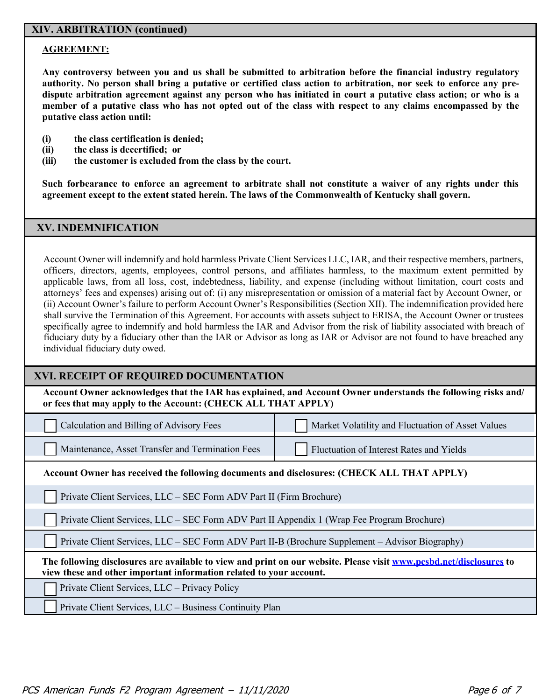## **XIV. ARBITRATION (continued)**

#### **AGREEMENT:**

**Any controversy between you and us shall be submitted to arbitration before the financial industry regulatory authority. No person shall bring a putative or certified class action to arbitration, nor seek to enforce any predispute arbitration agreement against any person who has initiated in court a putative class action; or who is a member of a putative class who has not opted out of the class with respect to any claims encompassed by the putative class action until:**

- **(i) the class certification is denied;**
- **(ii) the class is decertified; or**
- **(iii) the customer is excluded from the class by the court.**

**Such forbearance to enforce an agreement to arbitrate shall not constitute a waiver of any rights under this agreement except to the extent stated herein. The laws of the Commonwealth of Kentucky shall govern.**

#### **XV. INDEMNIFICATION**

Account Owner will indemnify and hold harmless Private Client Services LLC, IAR, and their respective members, partners, officers, directors, agents, employees, control persons, and affiliates harmless, to the maximum extent permitted by applicable laws, from all loss, cost, indebtedness, liability, and expense (including without limitation, court costs and attorneys' fees and expenses) arising out of: (i) any misrepresentation or omission of a material fact by Account Owner, or (ii) Account Owner's failure to perform Account Owner's Responsibilities (Section XII). The indemnification provided here shall survive the Termination of this Agreement. For accounts with assets subject to ERISA, the Account Owner or trustees specifically agree to indemnify and hold harmless the IAR and Advisor from the risk of liability associated with breach of fiduciary duty by a fiduciary other than the IAR or Advisor as long as IAR or Advisor are not found to have breached any individual fiduciary duty owed.

#### **XVI. RECEIPT OF REQUIRED DOCUMENTATION**

**Account Owner acknowledges that the IAR has explained, and Account Owner understands the following risks and/ or fees that may apply to the Account: (CHECK ALL THAT APPLY)** 

| Calculation and Billing of Advisory Fees |  |
|------------------------------------------|--|
|------------------------------------------|--|

Maintenance, Asset Transfer and Termination Fees Fluctuation of Interest Rates and Yields

Market Volatility and Fluctuation of Asset Values

**Account Owner has received the following documents and disclosures: (CHECK ALL THAT APPLY)**

Private Client Services, LLC – SEC Form ADV Part II (Firm Brochure)

Private Client Services, LLC – SEC Form ADV Part II Appendix 1 (Wrap Fee Program Brochure)

Private Client Services, LLC – SEC Form ADV Part II-B (Brochure Supplement – Advisor Biography)

**The following disclosures are available to view and print on our website. Please visit [www.pcsbd.net/disclosures](http://www.pcsbd.net/disclosures) to view these and other important information related to your account.**

Private Client Services, LLC – Privacy Policy

Private Client Services, LLC – Business Continuity Plan